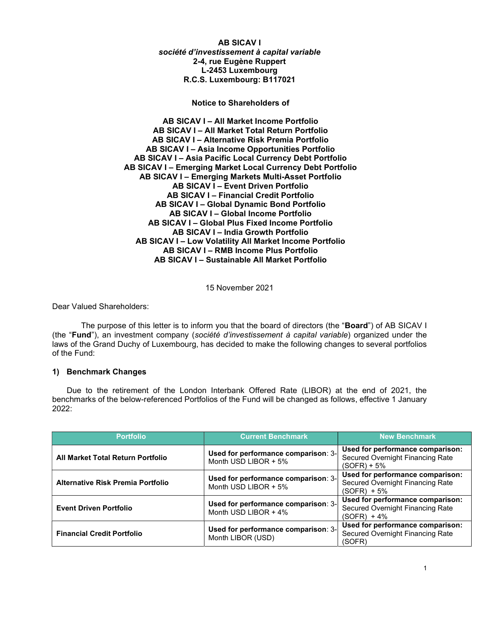AB SICAV I société d'investissement à capital variable 2-4, rue Eugène Ruppert L-2453 Luxembourg R.C.S. Luxembourg: B117021

Notice to Shareholders of

AB SICAV I – All Market Income Portfolio AB SICAV I – All Market Total Return Portfolio AB SICAV I – Alternative Risk Premia Portfolio AB SICAV I – Asia Income Opportunities Portfolio AB SICAV I – Asia Pacific Local Currency Debt Portfolio AB SICAV I – Emerging Market Local Currency Debt Portfolio AB SICAV I – Emerging Markets Multi-Asset Portfolio AB SICAV I – Event Driven Portfolio AB SICAV I – Financial Credit Portfolio AB SICAV I – Global Dynamic Bond Portfolio AB SICAV I – Global Income Portfolio AB SICAV I – Global Plus Fixed Income Portfolio AB SICAV I – India Growth Portfolio AB SICAV I – Low Volatility All Market Income Portfolio AB SICAV I – RMB Income Plus Portfolio AB SICAV I – Sustainable All Market Portfolio

15 November 2021

Dear Valued Shareholders:

The purpose of this letter is to inform you that the board of directors (the "**Board**") of AB SICAV I (the "Fund"), an investment company (société d'investissement à capital variable) organized under the laws of the Grand Duchy of Luxembourg, has decided to make the following changes to several portfolios of the Fund:

### 1) Benchmark Changes

Due to the retirement of the London Interbank Offered Rate (LIBOR) at the end of 2021, the benchmarks of the below-referenced Portfolios of the Fund will be changed as follows, effective 1 January 2022:

| <b>Portfolio</b>                  | <b>Current Benchmark</b>                                    | <b>New Benchmark</b>                                                                  |
|-----------------------------------|-------------------------------------------------------------|---------------------------------------------------------------------------------------|
| All Market Total Return Portfolio | Used for performance comparison: 3-<br>Month USD LIBOR + 5% | Used for performance comparison:<br>Secured Overnight Financing Rate<br>$(SOFF) + 5%$ |
| Alternative Risk Premia Portfolio | Used for performance comparison: 3-<br>Month USD LIBOR + 5% | Used for performance comparison:<br>Secured Overnight Financing Rate<br>$(SOFF) + 5%$ |
| <b>Event Driven Portfolio</b>     | Used for performance comparison: 3-<br>Month USD LIBOR + 4% | Used for performance comparison:<br>Secured Overnight Financing Rate<br>$(SOFF) + 4%$ |
| <b>Financial Credit Portfolio</b> | Used for performance comparison: 3-<br>Month LIBOR (USD)    | Used for performance comparison:<br>Secured Overnight Financing Rate<br>(SOFR)        |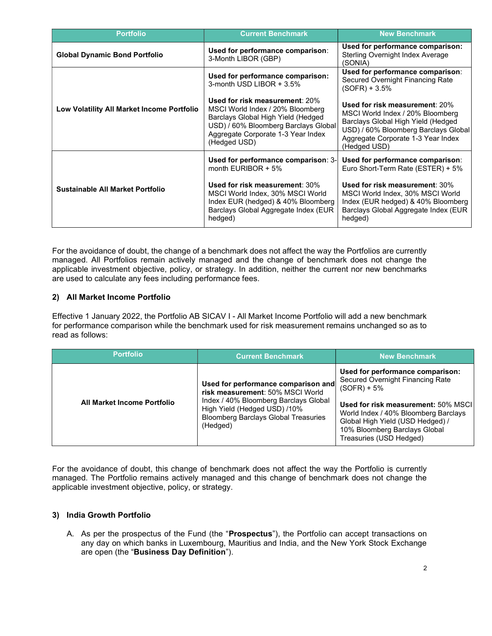| <b>Portfolio</b>                           | <b>Current Benchmark</b>                                                                                                                                                                               | <b>New Benchmark</b>                                                                                                                                                                                   |
|--------------------------------------------|--------------------------------------------------------------------------------------------------------------------------------------------------------------------------------------------------------|--------------------------------------------------------------------------------------------------------------------------------------------------------------------------------------------------------|
| <b>Global Dynamic Bond Portfolio</b>       | Used for performance comparison:<br>3-Month LIBOR (GBP)                                                                                                                                                | Used for performance comparison:<br>Sterling Overnight Index Average<br>(SONIA)                                                                                                                        |
| Low Volatility All Market Income Portfolio | Used for performance comparison:<br>3-month USD LIBOR $+3.5\%$                                                                                                                                         | Used for performance comparison:<br>Secured Overnight Financing Rate<br>$(SOFF) + 3.5%$                                                                                                                |
|                                            | Used for risk measurement: 20%<br>MSCI World Index / 20% Bloomberg<br>Barclays Global High Yield (Hedged<br>USD) / 60% Bloomberg Barclays Global<br>Aggregate Corporate 1-3 Year Index<br>(Hedged USD) | Used for risk measurement: 20%<br>MSCI World Index / 20% Bloomberg<br>Barclays Global High Yield (Hedged<br>USD) / 60% Bloomberg Barclays Global<br>Aggregate Corporate 1-3 Year Index<br>(Hedged USD) |
| Sustainable All Market Portfolio           | Used for performance comparison: 3-<br>month EURIBOR $+5\%$                                                                                                                                            | Used for performance comparison:<br>Euro Short-Term Rate (ESTER) + 5%                                                                                                                                  |
|                                            | Used for risk measurement: 30%<br>MSCI World Index, 30% MSCI World<br>Index EUR (hedged) & 40% Bloomberg<br>Barclays Global Aggregate Index (EUR<br>hedged)                                            | Used for risk measurement: 30%<br>MSCI World Index, 30% MSCI World<br>Index (EUR hedged) & 40% Bloomberg<br>Barclays Global Aggregate Index (EUR<br>hedged)                                            |

For the avoidance of doubt, the change of a benchmark does not affect the way the Portfolios are currently managed. All Portfolios remain actively managed and the change of benchmark does not change the applicable investment objective, policy, or strategy. In addition, neither the current nor new benchmarks are used to calculate any fees including performance fees.

# 2) All Market Income Portfolio

Effective 1 January 2022, the Portfolio AB SICAV I - All Market Income Portfolio will add a new benchmark for performance comparison while the benchmark used for risk measurement remains unchanged so as to read as follows:

| <b>Portfolio</b>            | <b>Current Benchmark</b>                                                                                                                                                                                    | <b>New Benchmark</b>                                                                                                                                                                                                                                                 |
|-----------------------------|-------------------------------------------------------------------------------------------------------------------------------------------------------------------------------------------------------------|----------------------------------------------------------------------------------------------------------------------------------------------------------------------------------------------------------------------------------------------------------------------|
| All Market Income Portfolio | Used for performance comparison and<br>risk measurement: 50% MSCI World<br>Index / 40% Bloomberg Barclays Global<br>High Yield (Hedged USD) /10%<br><b>Bloomberg Barclays Global Treasuries</b><br>(Hedged) | Used for performance comparison:<br>Secured Overnight Financing Rate<br>$(SOFR) + 5%$<br>Used for risk measurement: 50% MSCI<br>World Index / 40% Bloomberg Barclays<br>Global High Yield (USD Hedged) /<br>10% Bloomberg Barclays Global<br>Treasuries (USD Hedged) |

For the avoidance of doubt, this change of benchmark does not affect the way the Portfolio is currently managed. The Portfolio remains actively managed and this change of benchmark does not change the applicable investment objective, policy, or strategy.

### 3) India Growth Portfolio

A. As per the prospectus of the Fund (the "Prospectus"), the Portfolio can accept transactions on any day on which banks in Luxembourg, Mauritius and India, and the New York Stock Exchange are open (the "Business Day Definition").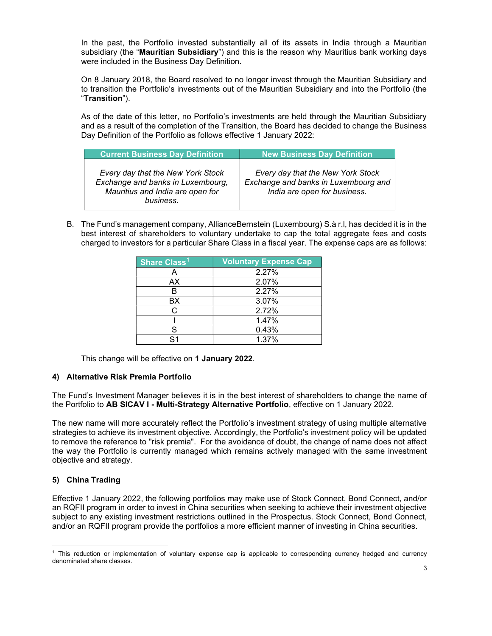In the past, the Portfolio invested substantially all of its assets in India through a Mauritian subsidiary (the "Mauritian Subsidiary") and this is the reason why Mauritius bank working days were included in the Business Day Definition.

On 8 January 2018, the Board resolved to no longer invest through the Mauritian Subsidiary and to transition the Portfolio's investments out of the Mauritian Subsidiary and into the Portfolio (the "Transition").

As of the date of this letter, no Portfolio's investments are held through the Mauritian Subsidiary and as a result of the completion of the Transition, the Board has decided to change the Business Day Definition of the Portfolio as follows effective 1 January 2022:

| <b>Current Business Day Definition</b>                                                                                  | <b>New Business Day Definition</b>                                                                        |
|-------------------------------------------------------------------------------------------------------------------------|-----------------------------------------------------------------------------------------------------------|
| Every day that the New York Stock<br>Exchange and banks in Luxembourg,<br>Mauritius and India are open for<br>business. | Every day that the New York Stock<br>Exchange and banks in Luxembourg and<br>India are open for business. |

B. The Fund's management company, AllianceBernstein (Luxembourg) S.à r.l, has decided it is in the best interest of shareholders to voluntary undertake to cap the total aggregate fees and costs charged to investors for a particular Share Class in a fiscal year. The expense caps are as follows:

| Share Class <sup>1</sup> | <b>Voluntary Expense Cap</b> |
|--------------------------|------------------------------|
|                          | 2.27%                        |
| AX                       | 2.07%                        |
|                          | 2.27%                        |
| ВX                       | 3.07%                        |
| r.                       | 2.72%                        |
|                          | 1.47%                        |
| S                        | 0.43%                        |
| c١                       | 1.37%                        |

This change will be effective on 1 January 2022.

# 4) Alternative Risk Premia Portfolio

The Fund's Investment Manager believes it is in the best interest of shareholders to change the name of the Portfolio to AB SICAV I - Multi-Strategy Alternative Portfolio, effective on 1 January 2022.

The new name will more accurately reflect the Portfolio's investment strategy of using multiple alternative strategies to achieve its investment objective. Accordingly, the Portfolio's investment policy will be updated to remove the reference to "risk premia". For the avoidance of doubt, the change of name does not affect the way the Portfolio is currently managed which remains actively managed with the same investment objective and strategy.

# 5) China Trading

Effective 1 January 2022, the following portfolios may make use of Stock Connect, Bond Connect, and/or an RQFII program in order to invest in China securities when seeking to achieve their investment objective subject to any existing investment restrictions outlined in the Prospectus. Stock Connect, Bond Connect, and/or an RQFII program provide the portfolios a more efficient manner of investing in China securities.

<sup>1</sup> This reduction or implementation of voluntary expense cap is applicable to corresponding currency hedged and currency denominated share classes.